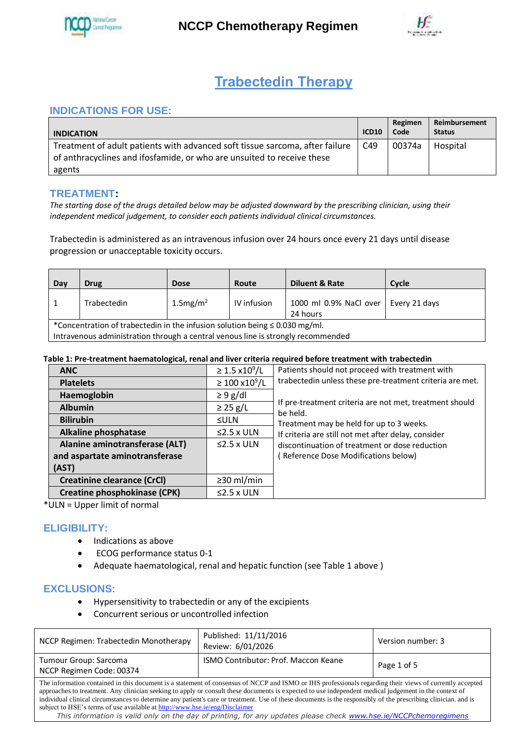

**NCCP Chemotherapy Regimen** 



# **Trabectedin Therapy**

# **INDICATIONS FOR USE:**

| <b>INDICATION</b>                                                                                                                                      | <b>ICD10</b> | Regimen<br>Code | Reimbursement<br><b>Status</b> |
|--------------------------------------------------------------------------------------------------------------------------------------------------------|--------------|-----------------|--------------------------------|
| Treatment of adult patients with advanced soft tissue sarcoma, after failure<br>of anthracyclines and ifosfamide, or who are unsuited to receive these | C49          | 00374a          | Hospital                       |
| agents                                                                                                                                                 |              |                 |                                |

# **TREATMENT:**

*The starting dose of the drugs detailed below may be adjusted downward by the prescribing clinician, using their independent medical judgement, to consider each patients individual clinical circumstances.*

Trabectedin is administered as an intravenous infusion over 24 hours once every 21 days until disease progression or unacceptable toxicity occurs.

| Day                                                                                                                                                                  | <b>Drug</b> | <b>Dose</b>             | Route       | <b>Diluent &amp; Rate</b>          | Cycle         |
|----------------------------------------------------------------------------------------------------------------------------------------------------------------------|-------------|-------------------------|-------------|------------------------------------|---------------|
|                                                                                                                                                                      | Trabectedin | $1.5$ mg/m <sup>2</sup> | IV infusion | 1000 ml 0.9% NaCl over<br>24 hours | Every 21 days |
| *Concentration of trabectedin in the infusion solution being $\leq 0.030$ mg/ml.<br>Intravenous administration through a central venous line is strongly recommended |             |                         |             |                                    |               |

## **Table 1: Pre-treatment haematological, renal and liver criteria required before treatment with trabectedin**

| <b>ANC</b>                          | $\geq 1.5 \times 10^9 / L$ | Patients should not proceed with treatment with                     |
|-------------------------------------|----------------------------|---------------------------------------------------------------------|
| <b>Platelets</b>                    | $\geq 100 \times 10^9 / L$ | trabectedin unless these pre-treatment criteria are met.            |
| Haemoglobin                         | $\geq 9$ g/dl              |                                                                     |
| <b>Albumin</b>                      | $\geq$ 25 g/L              | If pre-treatment criteria are not met, treatment should<br>be held. |
| <b>Bilirubin</b>                    | ≤ULN                       | Treatment may be held for up to 3 weeks.                            |
| <b>Alkaline phosphatase</b>         | $\leq$ 2.5 x ULN           | If criteria are still not met after delay, consider                 |
| Alanine aminotransferase (ALT)      | $\leq$ 2.5 x ULN           | discontinuation of treatment or dose reduction                      |
| and aspartate aminotransferase      |                            | (Reference Dose Modifications below)                                |
| (AST)                               |                            |                                                                     |
| <b>Creatinine clearance (CrCl)</b>  | $\geq$ 30 ml/min           |                                                                     |
| <b>Creatine phosphokinase (CPK)</b> | $\leq$ 2.5 x ULN           |                                                                     |

\*ULN = Upper limit of normal

## **ELIGIBILITY:**

- Indications as above
- ECOG performance status 0-1
- Adequate haematological, renal and hepatic function (see Table 1 above )

## **EXCLUSIONS:**

- Hypersensitivity to trabectedin or any of the excipients
- Concurrent serious or uncontrolled infection

| NCCP Regimen: Trabectedin Monotherapy                                                                                                                                                                                                                                                                                                                                                                                                                                                                                                                                                                                                                                                  | Published: 11/11/2016<br>Review: 6/01/2026  | Version number: 3 |  |  |
|----------------------------------------------------------------------------------------------------------------------------------------------------------------------------------------------------------------------------------------------------------------------------------------------------------------------------------------------------------------------------------------------------------------------------------------------------------------------------------------------------------------------------------------------------------------------------------------------------------------------------------------------------------------------------------------|---------------------------------------------|-------------------|--|--|
| Tumour Group: Sarcoma<br>NCCP Regimen Code: 00374                                                                                                                                                                                                                                                                                                                                                                                                                                                                                                                                                                                                                                      | <b>ISMO Contributor: Prof. Maccon Keane</b> | Page 1 of 5       |  |  |
| The information contained in this document is a statement of consensus of NCCP and ISMO or IHS professionals regarding their views of currently accepted<br>approaches to treatment. Any clinician seeking to apply or consult these documents is expected to use independent medical judgement in the context of<br>individual clinical circumstances to determine any patient's care or treatment. Use of these documents is the responsibly of the prescribing clinician, and is<br>subject to HSE's terms of use available at http://www.hse.ie/eng/Disclaimer<br>This information is valid only on the day of printing, for any updates please check www.hse.ie/NCCPchemoregimens |                                             |                   |  |  |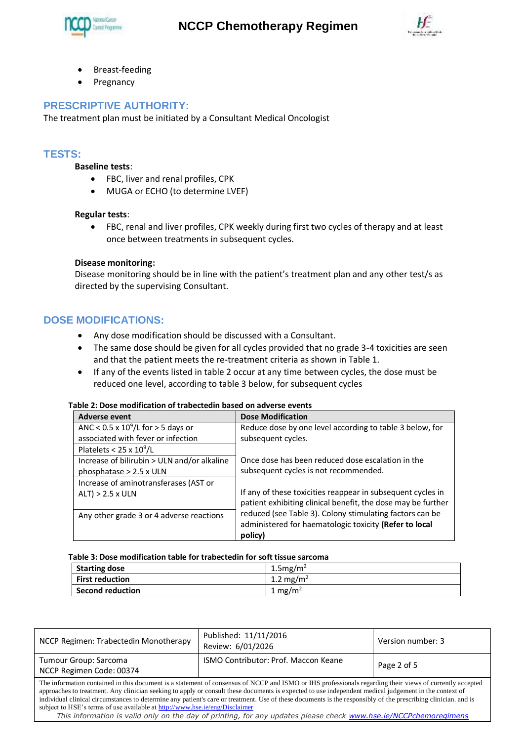



- Breast-feeding
- Pregnancy

# **PRESCRIPTIVE AUTHORITY:**

The treatment plan must be initiated by a Consultant Medical Oncologist

## **TESTS:**

## **Baseline tests**:

- FBC, liver and renal profiles, CPK
- MUGA or ECHO (to determine LVEF)

## **Regular tests**:

 FBC, renal and liver profiles, CPK weekly during first two cycles of therapy and at least once between treatments in subsequent cycles.

#### **Disease monitoring:**

Disease monitoring should be in line with the patient's treatment plan and any other test/s as directed by the supervising Consultant.

# **DOSE MODIFICATIONS:**

- Any dose modification should be discussed with a Consultant.
- The same dose should be given for all cycles provided that no grade 3-4 toxicities are seen and that the patient meets the re-treatment criteria as shown in Table 1.
- If any of the events listed in table 2 occur at any time between cycles, the dose must be reduced one level, according to table 3 below, for subsequent cycles

#### **Table 2: Dose modification of trabectedin based on adverse events**

| Adverse event                               | <b>Dose Modification</b>                                     |
|---------------------------------------------|--------------------------------------------------------------|
| ANC < $0.5 \times 10^9$ /L for > 5 days or  | Reduce dose by one level according to table 3 below, for     |
| associated with fever or infection          | subsequent cycles.                                           |
| Platelets < $25 \times 10^9$ /L             |                                                              |
| Increase of bilirubin > ULN and/or alkaline | Once dose has been reduced dose escalation in the            |
| phosphatase > 2.5 x ULN                     | subsequent cycles is not recommended.                        |
| Increase of aminotransferases (AST or       |                                                              |
| $ALT$ ) > 2.5 x ULN                         | If any of these toxicities reappear in subsequent cycles in  |
|                                             | patient exhibiting clinical benefit, the dose may be further |
| Any other grade 3 or 4 adverse reactions    | reduced (see Table 3). Colony stimulating factors can be     |
|                                             | administered for haematologic toxicity (Refer to local       |
|                                             | policy)                                                      |

#### **Table 3: Dose modification table for trabectedin for soft tissue sarcoma**

| <b>Starting dose</b>    | $1.5$ mg/m <sup>2</sup> |
|-------------------------|-------------------------|
| <b>First reduction</b>  | 1.2 mg/m <sup>2</sup>   |
| <b>Second reduction</b> | 1 mg/m <sup>2</sup>     |

| NCCP Regimen: Trabectedin Monotherapy                                                                                                                                                                                                                                                                                                                                                                                                                                                                                                                                                                                                                                                  | Published: 11/11/2016<br>Review: 6/01/2026  | Version number: 3 |  |  |
|----------------------------------------------------------------------------------------------------------------------------------------------------------------------------------------------------------------------------------------------------------------------------------------------------------------------------------------------------------------------------------------------------------------------------------------------------------------------------------------------------------------------------------------------------------------------------------------------------------------------------------------------------------------------------------------|---------------------------------------------|-------------------|--|--|
| Tumour Group: Sarcoma<br>NCCP Regimen Code: 00374                                                                                                                                                                                                                                                                                                                                                                                                                                                                                                                                                                                                                                      | <b>ISMO Contributor: Prof. Maccon Keane</b> | Page 2 of 5       |  |  |
| The information contained in this document is a statement of consensus of NCCP and ISMO or IHS professionals regarding their views of currently accepted<br>approaches to treatment. Any clinician seeking to apply or consult these documents is expected to use independent medical judgement in the context of<br>individual clinical circumstances to determine any patient's care or treatment. Use of these documents is the responsibly of the prescribing clinician, and is<br>subject to HSE's terms of use available at http://www.hse.ie/eng/Disclaimer<br>This information is valid only on the day of printing, for any updates please check www.hse.ie/NCCPchemoregimens |                                             |                   |  |  |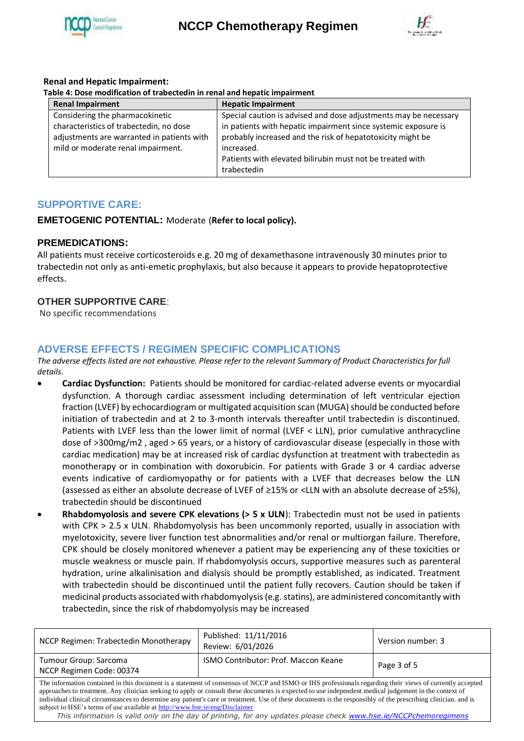



## **Renal and Hepatic Impairment:**

| Table 4: Dose modification of trabectedin in renal and hepatic impairment |  |  |
|---------------------------------------------------------------------------|--|--|
|                                                                           |  |  |

| <b>Renal Impairment</b>                                                                                                                                        | <b>Hepatic Impairment</b>                                                                                                                                                                                                                                                                  |
|----------------------------------------------------------------------------------------------------------------------------------------------------------------|--------------------------------------------------------------------------------------------------------------------------------------------------------------------------------------------------------------------------------------------------------------------------------------------|
| Considering the pharmacokinetic<br>characteristics of trabectedin, no dose<br>adjustments are warranted in patients with<br>mild or moderate renal impairment. | Special caution is advised and dose adjustments may be necessary<br>in patients with hepatic impairment since systemic exposure is<br>probably increased and the risk of hepatotoxicity might be<br>increased.<br>Patients with elevated bilirubin must not be treated with<br>trabectedin |

# **SUPPORTIVE CARE:**

## **EMETOGENIC POTENTIAL:** Moderate (**Refer to local policy).**

## **PREMEDICATIONS:**

All patients must receive corticosteroids e.g. 20 mg of dexamethasone intravenously 30 minutes prior to trabectedin not only as anti-emetic prophylaxis, but also because it appears to provide hepatoprotective effects.

## **OTHER SUPPORTIVE CARE**:

No specific recommendations

# **ADVERSE EFFECTS / REGIMEN SPECIFIC COMPLICATIONS**

*The adverse effects listed are not exhaustive. Please refer to the relevant Summary of Product Characteristics for full details*.

- **Cardiac Dysfunction:** Patients should be monitored for cardiac-related adverse events or myocardial dysfunction. A thorough cardiac assessment including determination of left ventricular ejection fraction (LVEF) by echocardiogram or multigated acquisition scan (MUGA) should be conducted before initiation of trabectedin and at 2 to 3-month intervals thereafter until trabectedin is discontinued. Patients with LVEF less than the lower limit of normal (LVEF < LLN), prior cumulative anthracycline dose of >300mg/m2 , aged > 65 years, or a history of cardiovascular disease (especially in those with cardiac medication) may be at increased risk of cardiac dysfunction at treatment with trabectedin as monotherapy or in combination with doxorubicin. For patients with Grade 3 or 4 cardiac adverse events indicative of cardiomyopathy or for patients with a LVEF that decreases below the LLN (assessed as either an absolute decrease of LVEF of ≥15% or <LLN with an absolute decrease of ≥5%), trabectedin should be discontinued
- **Rhabdomyolosis and severe CPK elevations (> 5 x ULN**): Trabectedin must not be used in patients with CPK > 2.5 x ULN. Rhabdomyolysis has been uncommonly reported, usually in association with myelotoxicity, severe liver function test abnormalities and/or renal or multiorgan failure. Therefore, CPK should be closely monitored whenever a patient may be experiencing any of these toxicities or muscle weakness or muscle pain. If rhabdomyolysis occurs, supportive measures such as parenteral hydration, urine alkalinisation and dialysis should be promptly established, as indicated. Treatment with trabectedin should be discontinued until the patient fully recovers. Caution should be taken if medicinal products associated with rhabdomyolysis (e.g. statins), are administered concomitantly with trabectedin, since the risk of rhabdomyolysis may be increased

| NCCP Regimen: Trabectedin Monotherapy                                                                                                                                                                                                                                                                                                                                                                                                                                                                                                                                                                                                                                                  | Published: 11/11/2016<br>Review: 6/01/2026 | Version number: 3 |  |  |  |
|----------------------------------------------------------------------------------------------------------------------------------------------------------------------------------------------------------------------------------------------------------------------------------------------------------------------------------------------------------------------------------------------------------------------------------------------------------------------------------------------------------------------------------------------------------------------------------------------------------------------------------------------------------------------------------------|--------------------------------------------|-------------------|--|--|--|
| Tumour Group: Sarcoma<br>NCCP Regimen Code: 00374                                                                                                                                                                                                                                                                                                                                                                                                                                                                                                                                                                                                                                      | ISMO Contributor: Prof. Maccon Keane       | Page 3 of 5       |  |  |  |
| The information contained in this document is a statement of consensus of NCCP and ISMO or IHS professionals regarding their views of currently accepted<br>approaches to treatment. Any clinician seeking to apply or consult these documents is expected to use independent medical judgement in the context of<br>individual clinical circumstances to determine any patient's care or treatment. Use of these documents is the responsibly of the prescribing clinician, and is<br>subject to HSE's terms of use available at http://www.hse.ie/eng/Disclaimer<br>This information is valid only on the day of printing, for any updates please check www.hse.ie/NCCPchemoregimens |                                            |                   |  |  |  |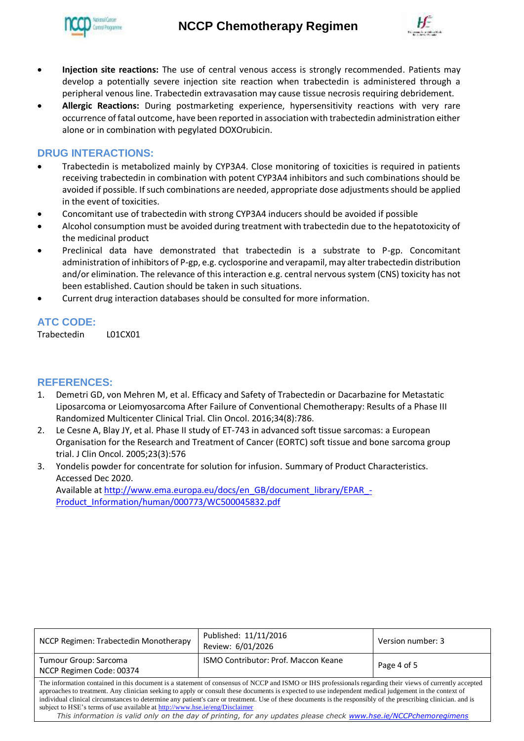



- **Injection site reactions:** The use of central venous access is strongly recommended. Patients may develop a potentially severe injection site reaction when trabectedin is administered through a peripheral venous line. Trabectedin extravasation may cause tissue necrosis requiring debridement.
- **Allergic Reactions:** During postmarketing experience, hypersensitivity reactions with very rare occurrence of fatal outcome, have been reported in association with trabectedin administration either alone or in combination with pegylated DOXOrubicin.

# **DRUG INTERACTIONS:**

- Trabectedin is metabolized mainly by CYP3A4. Close monitoring of toxicities is required in patients receiving trabectedin in combination with potent CYP3A4 inhibitors and such combinations should be avoided if possible. If such combinations are needed, appropriate dose adjustments should be applied in the event of toxicities.
- Concomitant use of trabectedin with strong CYP3A4 inducers should be avoided if possible
- Alcohol consumption must be avoided during treatment with trabectedin due to the hepatotoxicity of the medicinal product
- Preclinical data have demonstrated that trabectedin is a substrate to P-gp. Concomitant administration of inhibitors of P-gp, e.g. cyclosporine and verapamil, may alter trabectedin distribution and/or elimination. The relevance of this interaction e.g. central nervous system (CNS) toxicity has not been established. Caution should be taken in such situations.
- Current drug interaction databases should be consulted for more information.

# **ATC CODE:**

Trabectedin L01CX01

## **REFERENCES:**

- 1. Demetri GD, von Mehren M, et al. Efficacy and Safety of Trabectedin or Dacarbazine for Metastatic Liposarcoma or Leiomyosarcoma After Failure of Conventional Chemotherapy: Results of a Phase III Randomized Multicenter Clinical Trial. Clin Oncol. 2016;34(8):786.
- 2. Le Cesne A, Blay JY, et al. Phase II study of ET-743 in advanced soft tissue sarcomas: a European Organisation for the Research and Treatment of Cancer (EORTC) soft tissue and bone sarcoma group trial. J Clin Oncol. 2005;23(3):576
- 3. Yondelis powder for concentrate for solution for infusion. Summary of Product Characteristics. Accessed Dec 2020. Available a[t http://www.ema.europa.eu/docs/en\\_GB/document\\_library/EPAR\\_-](http://www.ema.europa.eu/docs/en_GB/document_library/EPAR_-Product_Information/human/000773/WC500045832.pdf)

[Product\\_Information/human/000773/WC500045832.pdf](http://www.ema.europa.eu/docs/en_GB/document_library/EPAR_-Product_Information/human/000773/WC500045832.pdf)

| NCCP Regimen: Trabectedin Monotherapy                                                                                                                                                                                                                                                                                                                                                                                                                                                                                                                                                                                                                                                  | Published: 11/11/2016<br>Review: 6/01/2026 | Version number: 3 |  |  |
|----------------------------------------------------------------------------------------------------------------------------------------------------------------------------------------------------------------------------------------------------------------------------------------------------------------------------------------------------------------------------------------------------------------------------------------------------------------------------------------------------------------------------------------------------------------------------------------------------------------------------------------------------------------------------------------|--------------------------------------------|-------------------|--|--|
| Tumour Group: Sarcoma<br>NCCP Regimen Code: 00374                                                                                                                                                                                                                                                                                                                                                                                                                                                                                                                                                                                                                                      | ISMO Contributor: Prof. Maccon Keane       | Page 4 of 5       |  |  |
| The information contained in this document is a statement of consensus of NCCP and ISMO or IHS professionals regarding their views of currently accepted<br>approaches to treatment. Any clinician seeking to apply or consult these documents is expected to use independent medical judgement in the context of<br>individual clinical circumstances to determine any patient's care or treatment. Use of these documents is the responsibly of the prescribing clinician, and is<br>subject to HSE's terms of use available at http://www.hse.ie/eng/Disclaimer<br>This information is valid only on the day of printing, for any updates please check www.hse.ie/NCCPchemoregimens |                                            |                   |  |  |